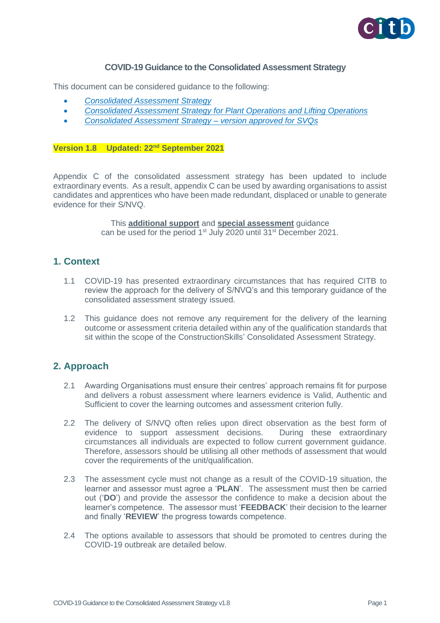

#### **COVID-19 Guidance to the Consolidated Assessment Strategy**

This document can be considered guidance to the following:

- *[Consolidated Assessment Strategy](https://www.citb.co.uk/media/yezdhlnn/consolidated-assessment-strategy.pdf)*
- *[Consolidated Assessment Strategy for Plant Operations and Lifting Operations](https://www.citb.co.uk/media/flijathv/consolidated-assessment-strategy-for-plant-operation.pdf)*
- *[Consolidated Assessment Strategy –](https://www.citb.co.uk/media/bn5d3v00/consolidated-assessment-strategy-svq.pdf) version approved for SVQs*

#### **Version 1.8 Updated: 22nd September 2021**

Appendix C of the consolidated assessment strategy has been updated to include extraordinary events. As a result, appendix C can be used by awarding organisations to assist candidates and apprentices who have been made redundant, displaced or unable to generate evidence for their S/NVQ.

> This **additional support** and **special assessment** guidance can be used for the period 1<sup>st</sup> July 2020 until 31<sup>st</sup> December 2021.

### **1. Context**

- 1.1 COVID-19 has presented extraordinary circumstances that has required CITB to review the approach for the delivery of S/NVQ's and this temporary guidance of the consolidated assessment strategy issued.
- 1.2 This guidance does not remove any requirement for the delivery of the learning outcome or assessment criteria detailed within any of the qualification standards that sit within the scope of the ConstructionSkills' Consolidated Assessment Strategy.

## **2. Approach**

- 2.1 Awarding Organisations must ensure their centres' approach remains fit for purpose and delivers a robust assessment where learners evidence is Valid, Authentic and Sufficient to cover the learning outcomes and assessment criterion fully.
- 2.2 The delivery of S/NVQ often relies upon direct observation as the best form of evidence to support assessment decisions. During these extraordinary circumstances all individuals are expected to follow current government guidance. Therefore, assessors should be utilising all other methods of assessment that would cover the requirements of the unit/qualification.
- 2.3 The assessment cycle must not change as a result of the COVID-19 situation, the learner and assessor must agree a '**PLAN**'. The assessment must then be carried out ('**DO**') and provide the assessor the confidence to make a decision about the learner's competence. The assessor must '**FEEDBACK**' their decision to the learner and finally '**REVIEW**' the progress towards competence.
- 2.4 The options available to assessors that should be promoted to centres during the COVID-19 outbreak are detailed below.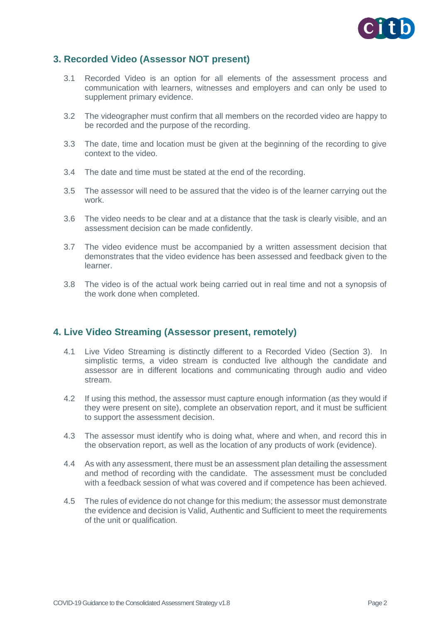

## **3. Recorded Video (Assessor NOT present)**

- 3.1 Recorded Video is an option for all elements of the assessment process and communication with learners, witnesses and employers and can only be used to supplement primary evidence.
- 3.2 The videographer must confirm that all members on the recorded video are happy to be recorded and the purpose of the recording.
- 3.3 The date, time and location must be given at the beginning of the recording to give context to the video.
- 3.4 The date and time must be stated at the end of the recording.
- 3.5 The assessor will need to be assured that the video is of the learner carrying out the work.
- 3.6 The video needs to be clear and at a distance that the task is clearly visible, and an assessment decision can be made confidently.
- 3.7 The video evidence must be accompanied by a written assessment decision that demonstrates that the video evidence has been assessed and feedback given to the learner.
- 3.8 The video is of the actual work being carried out in real time and not a synopsis of the work done when completed.

## **4. Live Video Streaming (Assessor present, remotely)**

- 4.1 Live Video Streaming is distinctly different to a Recorded Video (Section 3). In simplistic terms, a video stream is conducted live although the candidate and assessor are in different locations and communicating through audio and video stream.
- 4.2 If using this method, the assessor must capture enough information (as they would if they were present on site), complete an observation report, and it must be sufficient to support the assessment decision.
- 4.3 The assessor must identify who is doing what, where and when, and record this in the observation report, as well as the location of any products of work (evidence).
- 4.4 As with any assessment, there must be an assessment plan detailing the assessment and method of recording with the candidate. The assessment must be concluded with a feedback session of what was covered and if competence has been achieved.
- 4.5 The rules of evidence do not change for this medium; the assessor must demonstrate the evidence and decision is Valid, Authentic and Sufficient to meet the requirements of the unit or qualification.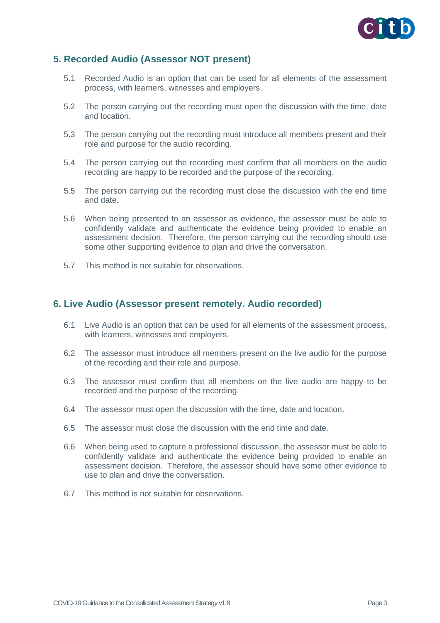

# **5. Recorded Audio (Assessor NOT present)**

- 5.1 Recorded Audio is an option that can be used for all elements of the assessment process, with learners, witnesses and employers.
- 5.2 The person carrying out the recording must open the discussion with the time, date and location.
- 5.3 The person carrying out the recording must introduce all members present and their role and purpose for the audio recording.
- 5.4 The person carrying out the recording must confirm that all members on the audio recording are happy to be recorded and the purpose of the recording.
- 5.5 The person carrying out the recording must close the discussion with the end time and date.
- 5.6 When being presented to an assessor as evidence, the assessor must be able to confidently validate and authenticate the evidence being provided to enable an assessment decision. Therefore, the person carrying out the recording should use some other supporting evidence to plan and drive the conversation.
- 5.7 This method is not suitable for observations.

#### **6. Live Audio (Assessor present remotely. Audio recorded)**

- 6.1 Live Audio is an option that can be used for all elements of the assessment process, with learners, witnesses and employers.
- 6.2 The assessor must introduce all members present on the live audio for the purpose of the recording and their role and purpose.
- 6.3 The assessor must confirm that all members on the live audio are happy to be recorded and the purpose of the recording.
- 6.4 The assessor must open the discussion with the time, date and location.
- 6.5 The assessor must close the discussion with the end time and date.
- 6.6 When being used to capture a professional discussion, the assessor must be able to confidently validate and authenticate the evidence being provided to enable an assessment decision. Therefore, the assessor should have some other evidence to use to plan and drive the conversation.
- 6.7 This method is not suitable for observations.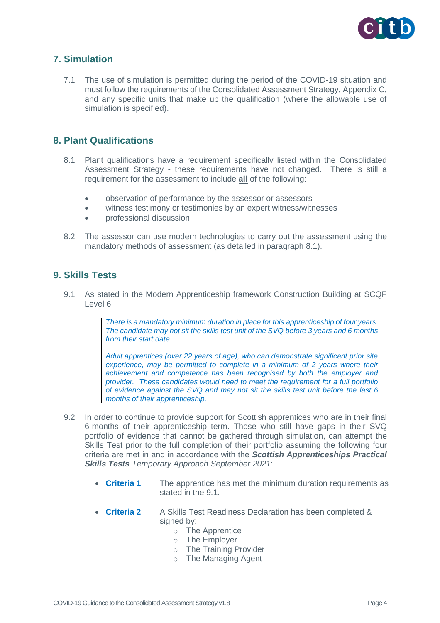

# **7. Simulation**

7.1 The use of simulation is permitted during the period of the COVID-19 situation and must follow the requirements of the Consolidated Assessment Strategy, Appendix C, and any specific units that make up the qualification (where the allowable use of simulation is specified).

### **8. Plant Qualifications**

- 8.1 Plant qualifications have a requirement specifically listed within the Consolidated Assessment Strategy - these requirements have not changed. There is still a requirement for the assessment to include **all** of the following:
	- observation of performance by the assessor or assessors
	- witness testimony or testimonies by an expert witness/witnesses
	- professional discussion
- 8.2 The assessor can use modern technologies to carry out the assessment using the mandatory methods of assessment (as detailed in paragraph 8.1).

## **9. Skills Tests**

9.1 As stated in the Modern Apprenticeship framework Construction Building at SCQF Level 6:

> *There is a mandatory minimum duration in place for this apprenticeship of four years. The candidate may not sit the skills test unit of the SVQ before 3 years and 6 months from their start date.*

> *Adult apprentices (over 22 years of age), who can demonstrate significant prior site*  experience, may be permitted to complete in a minimum of 2 years where their *achievement and competence has been recognised by both the employer and provider. These candidates would need to meet the requirement for a full portfolio of evidence against the SVQ and may not sit the skills test unit before the last 6 months of their apprenticeship.*

- 9.2 In order to continue to provide support for Scottish apprentices who are in their final 6-months of their apprenticeship term. Those who still have gaps in their SVQ portfolio of evidence that cannot be gathered through simulation, can attempt the Skills Test prior to the full completion of their portfolio assuming the following four criteria are met in and in accordance with the *Scottish Apprenticeships Practical Skills Tests Temporary Approach September 2021*:
	- **Criteria 1** The apprentice has met the minimum duration requirements as stated in the 9.1.
	- **Criteria 2** A Skills Test Readiness Declaration has been completed & signed by:
		- o The Apprentice
		- o The Employer
		- o The Training Provider
		- o The Managing Agent